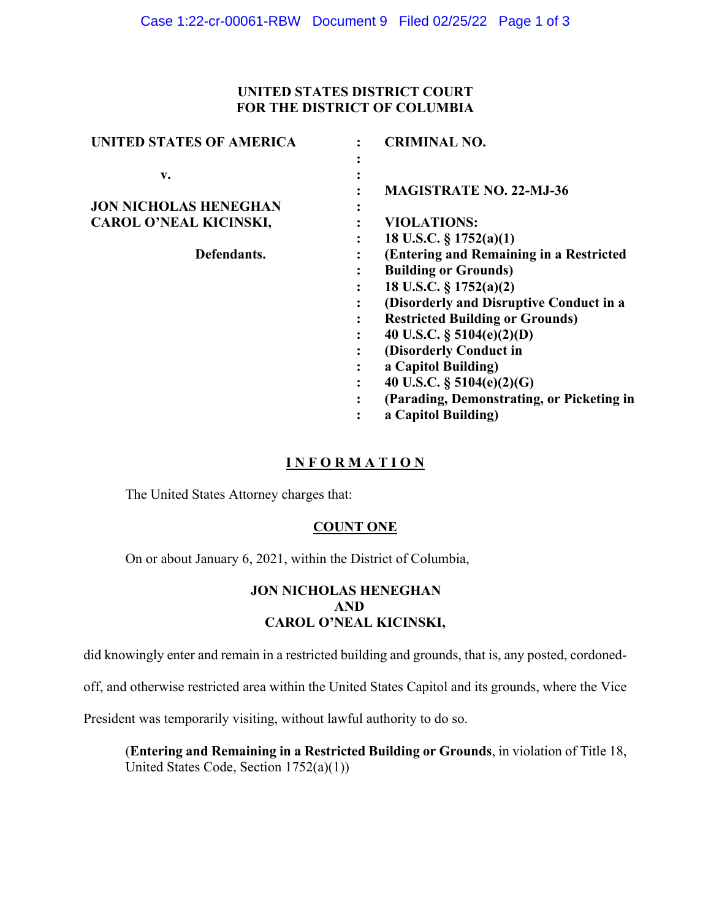### **UNITED STATES DISTRICT COURT FOR THE DISTRICT OF COLUMBIA**

| <b>UNITED STATES OF AMERICA</b> | <b>CRIMINAL NO.</b>                       |
|---------------------------------|-------------------------------------------|
| v.                              |                                           |
|                                 | <b>MAGISTRATE NO. 22-MJ-36</b>            |
| <b>JON NICHOLAS HENEGHAN</b>    |                                           |
| <b>CAROL O'NEAL KICINSKI,</b>   | <b>VIOLATIONS:</b>                        |
|                                 | 18 U.S.C. $\S 1752(a)(1)$                 |
| Defendants.                     | (Entering and Remaining in a Restricted   |
|                                 | <b>Building or Grounds)</b>               |
|                                 | 18 U.S.C. § 1752(a)(2)                    |
|                                 | (Disorderly and Disruptive Conduct in a   |
|                                 | <b>Restricted Building or Grounds)</b>    |
|                                 | 40 U.S.C. $\S$ 5104(e)(2)(D)              |
|                                 | (Disorderly Conduct in                    |
|                                 | a Capitol Building)                       |
|                                 | 40 U.S.C. $\S$ 5104(e)(2)(G)              |
|                                 | (Parading, Demonstrating, or Picketing in |
|                                 | a Capitol Building)<br>٠                  |
|                                 |                                           |

# **I N F O R M A T I O N**

The United States Attorney charges that:

### **COUNT ONE**

On or about January 6, 2021, within the District of Columbia,

# **JON NICHOLAS HENEGHAN AND CAROL O'NEAL KICINSKI,**

did knowingly enter and remain in a restricted building and grounds, that is, any posted, cordoned-

off, and otherwise restricted area within the United States Capitol and its grounds, where the Vice

President was temporarily visiting, without lawful authority to do so.

(**Entering and Remaining in a Restricted Building or Grounds**, in violation of Title 18, United States Code, Section 1752(a)(1))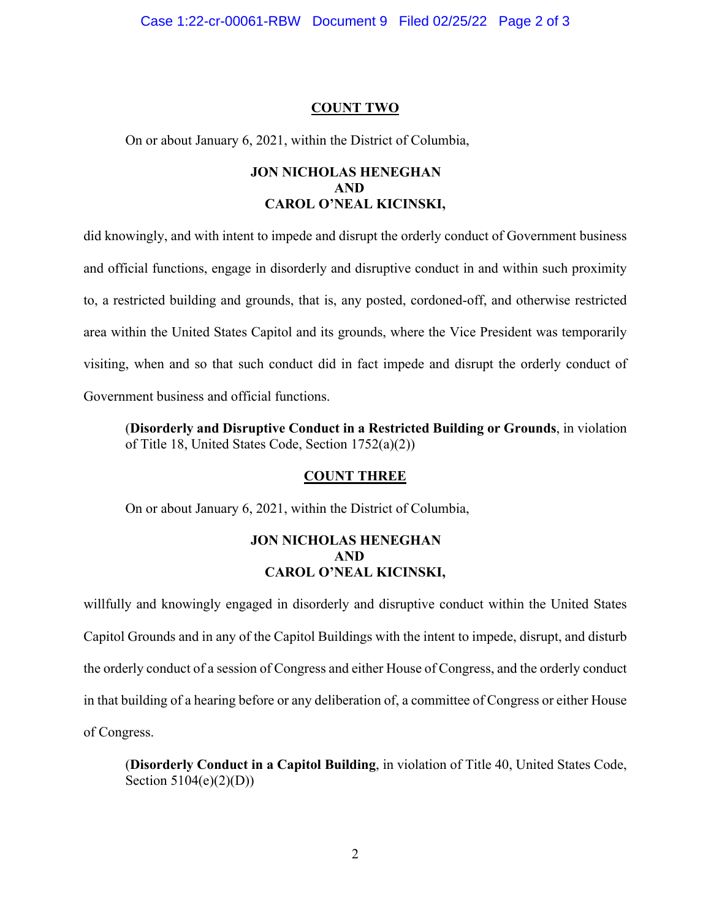#### **COUNT TWO**

On or about January 6, 2021, within the District of Columbia,

# **JON NICHOLAS HENEGHAN AND CAROL O'NEAL KICINSKI,**

did knowingly, and with intent to impede and disrupt the orderly conduct of Government business and official functions, engage in disorderly and disruptive conduct in and within such proximity to, a restricted building and grounds, that is, any posted, cordoned-off, and otherwise restricted area within the United States Capitol and its grounds, where the Vice President was temporarily visiting, when and so that such conduct did in fact impede and disrupt the orderly conduct of Government business and official functions.

(**Disorderly and Disruptive Conduct in a Restricted Building or Grounds**, in violation of Title 18, United States Code, Section 1752(a)(2))

#### **COUNT THREE**

On or about January 6, 2021, within the District of Columbia,

## **JON NICHOLAS HENEGHAN AND CAROL O'NEAL KICINSKI,**

willfully and knowingly engaged in disorderly and disruptive conduct within the United States Capitol Grounds and in any of the Capitol Buildings with the intent to impede, disrupt, and disturb the orderly conduct of a session of Congress and either House of Congress, and the orderly conduct in that building of a hearing before or any deliberation of, a committee of Congress or either House of Congress.

(**Disorderly Conduct in a Capitol Building**, in violation of Title 40, United States Code, Section  $5104(e)(2)(D)$ )